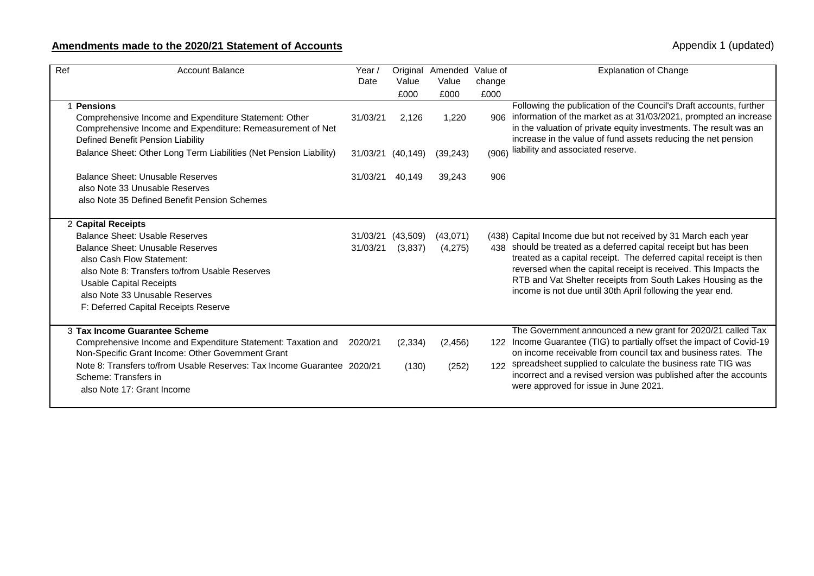## **Amendments made to the 2020/21 Statement of Accounts** Accounts Appendix 1 (updated)

| Ref        | <b>Account Balance</b>                                                                                                                                                                                                                                                              | Year /<br>Date       | Value<br>£000       | Original Amended<br>Value<br>£000 | Value of<br>change<br>£000 | <b>Explanation of Change</b>                                                                                                                                                                                                                                                                                                                                                                               |
|------------|-------------------------------------------------------------------------------------------------------------------------------------------------------------------------------------------------------------------------------------------------------------------------------------|----------------------|---------------------|-----------------------------------|----------------------------|------------------------------------------------------------------------------------------------------------------------------------------------------------------------------------------------------------------------------------------------------------------------------------------------------------------------------------------------------------------------------------------------------------|
| 1 Pensions | Comprehensive Income and Expenditure Statement: Other<br>Comprehensive Income and Expenditure: Remeasurement of Net<br>Defined Benefit Pension Liability                                                                                                                            | 31/03/21             | 2,126               | 1,220                             |                            | Following the publication of the Council's Draft accounts, further<br>906 information of the market as at 31/03/2021, prompted an increase<br>in the valuation of private equity investments. The result was an<br>increase in the value of fund assets reducing the net pension                                                                                                                           |
|            | Balance Sheet: Other Long Term Liabilities (Net Pension Liability)                                                                                                                                                                                                                  | 31/03/21 (40,149)    |                     | (39, 243)                         | (906)                      | liability and associated reserve.                                                                                                                                                                                                                                                                                                                                                                          |
|            | Balance Sheet: Unusable Reserves<br>also Note 33 Unusable Reserves<br>also Note 35 Defined Benefit Pension Schemes                                                                                                                                                                  | 31/03/21             | 40,149              | 39,243                            | 906                        |                                                                                                                                                                                                                                                                                                                                                                                                            |
|            | 2 Capital Receipts<br>Balance Sheet: Usable Reserves<br>Balance Sheet: Unusable Reserves<br>also Cash Flow Statement:<br>also Note 8: Transfers to/from Usable Reserves<br>Usable Capital Receipts<br>also Note 33 Unusable Reserves<br>F: Deferred Capital Receipts Reserve        | 31/03/21<br>31/03/21 | (43,509)<br>(3,837) | (43,071)<br>(4,275)               |                            | (438) Capital Income due but not received by 31 March each year<br>438 should be treated as a deferred capital receipt but has been<br>treated as a capital receipt. The deferred capital receipt is then<br>reversed when the capital receipt is received. This Impacts the<br>RTB and Vat Shelter receipts from South Lakes Housing as the<br>income is not due until 30th April following the year end. |
|            | 3 Tax Income Guarantee Scheme<br>Comprehensive Income and Expenditure Statement: Taxation and<br>Non-Specific Grant Income: Other Government Grant<br>Note 8: Transfers to/from Usable Reserves: Tax Income Guarantee 2020/21<br>Scheme: Transfers in<br>also Note 17: Grant Income | 2020/21              | (2, 334)<br>(130)   | (2, 456)<br>(252)                 | 122                        | The Government announced a new grant for 2020/21 called Tax<br>122 Income Guarantee (TIG) to partially offset the impact of Covid-19<br>on income receivable from council tax and business rates. The<br>spreadsheet supplied to calculate the business rate TIG was<br>incorrect and a revised version was published after the accounts<br>were approved for issue in June 2021.                          |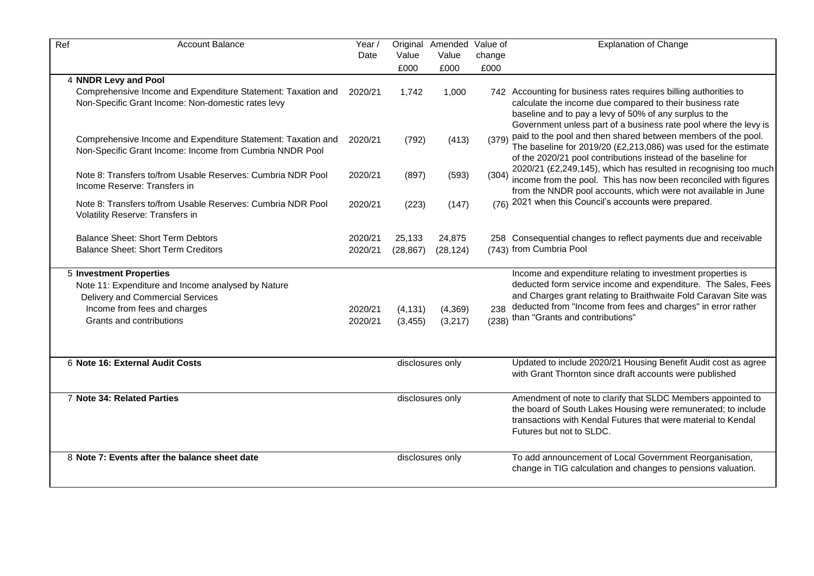| Ref                        | <b>Account Balance</b>                                                                                                   | Year /  |                  | Original Amended | Value of | <b>Explanation of Change</b>                                                                                                 |
|----------------------------|--------------------------------------------------------------------------------------------------------------------------|---------|------------------|------------------|----------|------------------------------------------------------------------------------------------------------------------------------|
|                            |                                                                                                                          | Date    | Value            | Value            | change   |                                                                                                                              |
|                            |                                                                                                                          |         | £000             | £000             | £000     |                                                                                                                              |
| 4 NNDR Levy and Pool       |                                                                                                                          |         |                  |                  |          |                                                                                                                              |
|                            | Comprehensive Income and Expenditure Statement: Taxation and                                                             | 2020/21 | 1,742            | 1,000            |          | 742 Accounting for business rates requires billing authorities to                                                            |
|                            | Non-Specific Grant Income: Non-domestic rates levy                                                                       |         |                  |                  |          | calculate the income due compared to their business rate<br>baseline and to pay a levy of 50% of any surplus to the          |
|                            |                                                                                                                          |         |                  |                  |          | Government unless part of a business rate pool where the levy is                                                             |
|                            |                                                                                                                          |         |                  |                  |          | (379) paid to the pool and then shared between members of the pool.                                                          |
|                            | Comprehensive Income and Expenditure Statement: Taxation and<br>Non-Specific Grant Income: Income from Cumbria NNDR Pool | 2020/21 | (792)            | (413)            |          | The baseline for 2019/20 (£2,213,086) was used for the estimate                                                              |
|                            |                                                                                                                          |         |                  |                  |          | of the 2020/21 pool contributions instead of the baseline for                                                                |
|                            | Note 8: Transfers to/from Usable Reserves: Cumbria NDR Pool                                                              | 2020/21 | (897)            | (593)            | (304)    | 2020/21 (£2,249,145), which has resulted in recognising too much                                                             |
|                            | Income Reserve: Transfers in                                                                                             |         |                  |                  |          | income from the pool. This has now been reconciled with figures                                                              |
|                            |                                                                                                                          |         |                  |                  |          | from the NNDR pool accounts, which were not available in June                                                                |
|                            | Note 8: Transfers to/from Usable Reserves: Cumbria NDR Pool                                                              | 2020/21 | (223)            | (147)            |          | (76) 2021 when this Council's accounts were prepared.                                                                        |
|                            | Volatility Reserve: Transfers in                                                                                         |         |                  |                  |          |                                                                                                                              |
|                            | <b>Balance Sheet: Short Term Debtors</b>                                                                                 | 2020/21 | 25,133           | 24,875           |          | 258 Consequential changes to reflect payments due and receivable                                                             |
|                            | <b>Balance Sheet: Short Term Creditors</b>                                                                               | 2020/21 | (28, 867)        | (28, 124)        |          | (743) from Cumbria Pool                                                                                                      |
|                            |                                                                                                                          |         |                  |                  |          |                                                                                                                              |
|                            | <b>5 Investment Properties</b>                                                                                           |         |                  |                  |          | Income and expenditure relating to investment properties is                                                                  |
|                            | Note 11: Expenditure and Income analysed by Nature                                                                       |         |                  |                  |          | deducted form service income and expenditure. The Sales, Fees                                                                |
|                            | <b>Delivery and Commercial Services</b>                                                                                  |         |                  |                  |          | and Charges grant relating to Braithwaite Fold Caravan Site was                                                              |
|                            | Income from fees and charges                                                                                             | 2020/21 | (4, 131)         | (4, 369)         |          | 238 deducted from "Income from fees and charges" in error rather                                                             |
|                            | Grants and contributions                                                                                                 | 2020/21 | (3, 455)         | (3,217)          |          | (238) than "Grants and contributions"                                                                                        |
|                            |                                                                                                                          |         |                  |                  |          |                                                                                                                              |
|                            |                                                                                                                          |         |                  |                  |          |                                                                                                                              |
|                            | 6 Note 16: External Audit Costs                                                                                          |         |                  | disclosures only |          | Updated to include 2020/21 Housing Benefit Audit cost as agree                                                               |
|                            |                                                                                                                          |         |                  |                  |          | with Grant Thornton since draft accounts were published                                                                      |
|                            |                                                                                                                          |         |                  |                  |          |                                                                                                                              |
| 7 Note 34: Related Parties |                                                                                                                          |         | disclosures only |                  |          | Amendment of note to clarify that SLDC Members appointed to<br>the board of South Lakes Housing were remunerated; to include |
|                            |                                                                                                                          |         |                  |                  |          | transactions with Kendal Futures that were material to Kendal                                                                |
|                            |                                                                                                                          |         |                  |                  |          | Futures but not to SLDC.                                                                                                     |
|                            |                                                                                                                          |         |                  |                  |          |                                                                                                                              |
|                            | 8 Note 7: Events after the balance sheet date                                                                            |         |                  | disclosures only |          | To add announcement of Local Government Reorganisation,                                                                      |
|                            |                                                                                                                          |         |                  |                  |          | change in TIG calculation and changes to pensions valuation.                                                                 |
|                            |                                                                                                                          |         |                  |                  |          |                                                                                                                              |